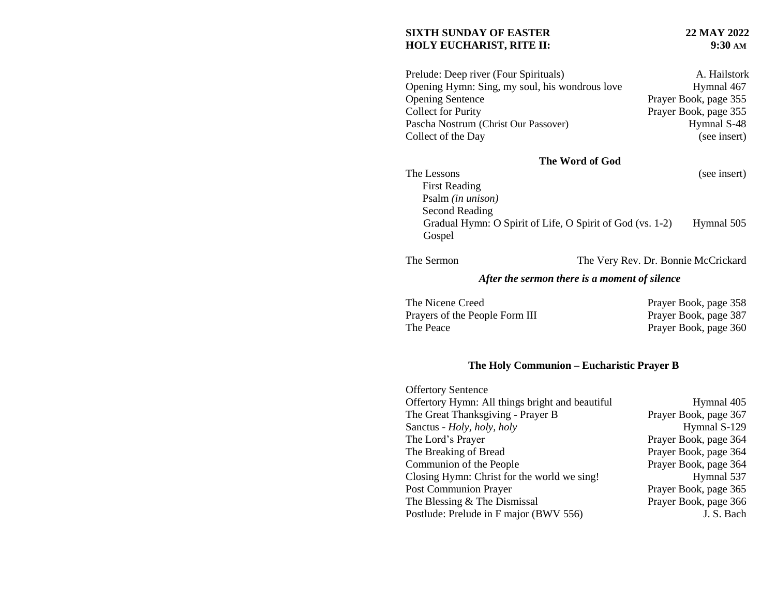#### **SIXTH SUNDAY OF EASTER 22 MAY 2022 HOLY EUCHARIST, RITE II:**

| Prelude: Deep river (Four Spirituals)          | A. Hailstork          |
|------------------------------------------------|-----------------------|
| Opening Hymn: Sing, my soul, his wondrous love | Hymnal 467            |
| <b>Opening Sentence</b>                        | Prayer Book, page 355 |
| <b>Collect for Purity</b>                      | Prayer Book, page 355 |
| Pascha Nostrum (Christ Our Passover)           | Hymnal S-48           |
| Collect of the Day                             | (see insert)          |

# **The Word of God**

The Lessons (see insert)

| <b>First Reading</b>                                      |            |
|-----------------------------------------------------------|------------|
| Psalm <i>(in unison)</i>                                  |            |
| Second Reading                                            |            |
| Gradual Hymn: O Spirit of Life, O Spirit of God (vs. 1-2) | Hymnal 505 |
| Gospel                                                    |            |

The Sermon The Very Rev. Dr. Bonnie McCrickard

## *After the sermon there is a moment of silence*

| The Nicene Creed               | Prayer Book, page 358 |
|--------------------------------|-----------------------|
| Prayers of the People Form III | Prayer Book, page 387 |
| The Peace                      | Prayer Book, page 360 |

## **The Holy Communion – Eucharistic Prayer B**

| <b>Offertory Sentence</b>                       |                       |
|-------------------------------------------------|-----------------------|
| Offertory Hymn: All things bright and beautiful | Hymnal 405            |
| The Great Thanksgiving - Prayer B               | Prayer Book, page 367 |
| Sanctus - Holy, holy, holy                      | Hymnal S-129          |
| The Lord's Prayer                               | Prayer Book, page 364 |
| The Breaking of Bread                           | Prayer Book, page 364 |
| Communion of the People                         | Prayer Book, page 364 |
| Closing Hymn: Christ for the world we sing!     | Hymnal 537            |
| <b>Post Communion Prayer</b>                    | Prayer Book, page 365 |
| The Blessing & The Dismissal                    | Prayer Book, page 366 |
| Postlude: Prelude in F major (BWV 556)          | J. S. Bach            |